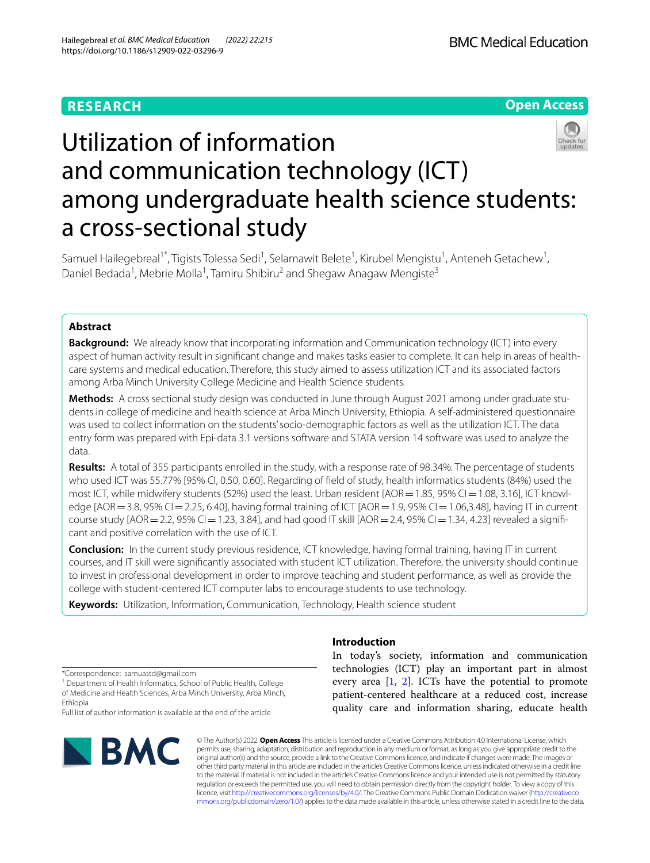## **RESEARCH**

**Open Access**

# Utilization of information and communication technology (ICT) among undergraduate health science students: a cross-sectional study

Samuel Hailegebreal<sup>1\*</sup>, Tigists Tolessa Sedi<sup>1</sup>, Selamawit Belete<sup>1</sup>, Kirubel Mengistu<sup>1</sup>, Anteneh Getachew<sup>1</sup>, Daniel Bedada<sup>1</sup>, Mebrie Molla<sup>1</sup>, Tamiru Shibiru<sup>2</sup> and Shegaw Anagaw Mengiste<sup>3</sup>

#### **Abstract**

**Background:** We already know that incorporating information and Communication technology (ICT) into every aspect of human activity result in signifcant change and makes tasks easier to complete. It can help in areas of healthcare systems and medical education. Therefore, this study aimed to assess utilization ICT and its associated factors among Arba Minch University College Medicine and Health Science students.

**Methods:** A cross sectional study design was conducted in June through August 2021 among under graduate students in college of medicine and health science at Arba Minch University, Ethiopia. A self-administered questionnaire was used to collect information on the students' socio-demographic factors as well as the utilization ICT. The data entry form was prepared with Epi-data 3.1 versions software and STATA version 14 software was used to analyze the data.

**Results:** A total of 355 participants enrolled in the study, with a response rate of 98.34%. The percentage of students who used ICT was 55.77% [95% CI, 0.50, 0.60]. Regarding of feld of study, health informatics students (84%) used the most ICT, while midwifery students (52%) used the least. Urban resident [AOR = 1.85, 95% CI = 1.08, 3.16], ICT knowledge [AOR = 3.8, 95% CI = 2.25, 6.40], having formal training of ICT [AOR = 1.9, 95% CI = 1.06,3.48], having IT in current course study  $[AOR = 2.2, 95\% C] = 1.23, 3.84]$ , and had good IT skill  $[AOR = 2.4, 95\% C] = 1.34, 4.23]$  revealed a significant and positive correlation with the use of ICT.

**Conclusion:** In the current study previous residence, ICT knowledge, having formal training, having IT in current courses, and IT skill were signifcantly associated with student ICT utilization. Therefore, the university should continue to invest in professional development in order to improve teaching and student performance, as well as provide the college with student-centered ICT computer labs to encourage students to use technology.

**Keywords:** Utilization, Information, Communication, Technology, Health science student

\*Correspondence: samuastd@gmail.com

<sup>1</sup> Department of Health Informatics, School of Public Health, College of Medicine and Health Sciences, Arba Minch University, Arba Minch, Ethiopia

Full list of author information is available at the end of the article



#### **Introduction**

In today's society, information and communication technologies (ICT) play an important part in almost every area  $[1, 2]$  $[1, 2]$  $[1, 2]$  $[1, 2]$  $[1, 2]$ . ICTs have the potential to promote patient-centered healthcare at a reduced cost, increase quality care and information sharing, educate health

© The Author(s) 2022. **Open Access** This article is licensed under a Creative Commons Attribution 4.0 International License, which permits use, sharing, adaptation, distribution and reproduction in any medium or format, as long as you give appropriate credit to the original author(s) and the source, provide a link to the Creative Commons licence, and indicate if changes were made. The images or other third party material in this article are included in the article's Creative Commons licence, unless indicated otherwise in a credit line to the material. If material is not included in the article's Creative Commons licence and your intended use is not permitted by statutory regulation or exceeds the permitted use, you will need to obtain permission directly from the copyright holder. To view a copy of this licence, visit [http://creativecommons.org/licenses/by/4.0/.](http://creativecommons.org/licenses/by/4.0/) The Creative Commons Public Domain Dedication waiver ([http://creativeco](http://creativecommons.org/publicdomain/zero/1.0/) [mmons.org/publicdomain/zero/1.0/](http://creativecommons.org/publicdomain/zero/1.0/)) applies to the data made available in this article, unless otherwise stated in a credit line to the data.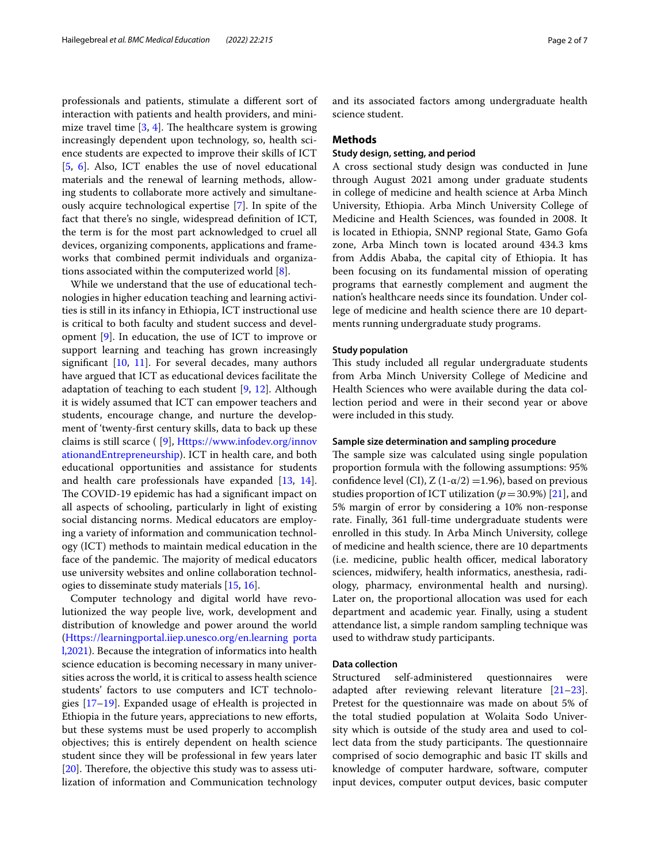professionals and patients, stimulate a diferent sort of interaction with patients and health providers, and minimize travel time  $[3, 4]$  $[3, 4]$  $[3, 4]$  $[3, 4]$ . The healthcare system is growing increasingly dependent upon technology, so, health science students are expected to improve their skills of ICT [[5,](#page-5-4) [6](#page-5-5)]. Also, ICT enables the use of novel educational materials and the renewal of learning methods, allowing students to collaborate more actively and simultaneously acquire technological expertise [\[7](#page-5-6)]. In spite of the fact that there's no single, widespread defnition of ICT, the term is for the most part acknowledged to cruel all devices, organizing components, applications and frameworks that combined permit individuals and organizations associated within the computerized world [[8\]](#page-5-7).

While we understand that the use of educational technologies in higher education teaching and learning activities is still in its infancy in Ethiopia, ICT instructional use is critical to both faculty and student success and development [\[9\]](#page-5-8). In education, the use of ICT to improve or support learning and teaching has grown increasingly signifcant [[10](#page-6-0), [11\]](#page-6-1). For several decades, many authors have argued that ICT as educational devices facilitate the adaptation of teaching to each student  $[9, 12]$  $[9, 12]$  $[9, 12]$  $[9, 12]$ . Although it is widely assumed that ICT can empower teachers and students, encourage change, and nurture the development of 'twenty-frst century skills, data to back up these claims is still scarce ( [\[9](#page-5-8)], [Https://www.infodev.org/innov](https://www.infodev.org/innovationandEntrepreneurship) [ationandEntrepreneurship\)](https://www.infodev.org/innovationandEntrepreneurship). ICT in health care, and both educational opportunities and assistance for students and health care professionals have expanded [\[13](#page-6-3), [14](#page-6-4)]. The COVID-19 epidemic has had a significant impact on all aspects of schooling, particularly in light of existing social distancing norms. Medical educators are employing a variety of information and communication technology (ICT) methods to maintain medical education in the face of the pandemic. The majority of medical educators use university websites and online collaboration technologies to disseminate study materials [[15,](#page-6-5) [16](#page-6-6)].

Computer technology and digital world have revolutionized the way people live, work, development and distribution of knowledge and power around the world ([Https://learningportal.iiep.unesco.org/en.learning porta](https://learningportal.iiep.unesco.org/en.learning%20portal,2021) [l,2021](https://learningportal.iiep.unesco.org/en.learning%20portal,2021)). Because the integration of informatics into health science education is becoming necessary in many universities across the world, it is critical to assess health science students' factors to use computers and ICT technologies [[17–](#page-6-7)[19\]](#page-6-8). Expanded usage of eHealth is projected in Ethiopia in the future years, appreciations to new efforts, but these systems must be used properly to accomplish objectives; this is entirely dependent on health science student since they will be professional in few years later  $[20]$  $[20]$ . Therefore, the objective this study was to assess utilization of information and Communication technology and its associated factors among undergraduate health science student.

#### **Methods**

#### **Study design, setting, and period**

A cross sectional study design was conducted in June through August 2021 among under graduate students in college of medicine and health science at Arba Minch University, Ethiopia. Arba Minch University College of Medicine and Health Sciences, was founded in 2008. It is located in Ethiopia, SNNP regional State, Gamo Gofa zone, Arba Minch town is located around 434.3 kms from Addis Ababa, the capital city of Ethiopia. It has been focusing on its fundamental mission of operating programs that earnestly complement and augment the nation's healthcare needs since its foundation. Under college of medicine and health science there are 10 departments running undergraduate study programs.

#### **Study population**

This study included all regular undergraduate students from Arba Minch University College of Medicine and Health Sciences who were available during the data collection period and were in their second year or above were included in this study.

#### **Sample size determination and sampling procedure**

The sample size was calculated using single population proportion formula with the following assumptions: 95% confidence level (CI),  $Z(1-\alpha/2) = 1.96$ ), based on previous studies proportion of ICT utilization ( $p=30.9%$ ) [\[21\]](#page-6-10), and 5% margin of error by considering a 10% non-response rate. Finally, 361 full-time undergraduate students were enrolled in this study. In Arba Minch University, college of medicine and health science, there are 10 departments (i.e. medicine, public health officer, medical laboratory sciences, midwifery, health informatics, anesthesia, radiology, pharmacy, environmental health and nursing). Later on, the proportional allocation was used for each department and academic year. Finally, using a student attendance list, a simple random sampling technique was used to withdraw study participants.

#### **Data collection**

Structured self-administered questionnaires were adapted after reviewing relevant literature [[21](#page-6-10)[–23](#page-6-11)]. Pretest for the questionnaire was made on about 5% of the total studied population at Wolaita Sodo University which is outside of the study area and used to collect data from the study participants. The questionnaire comprised of socio demographic and basic IT skills and knowledge of computer hardware, software, computer input devices, computer output devices, basic computer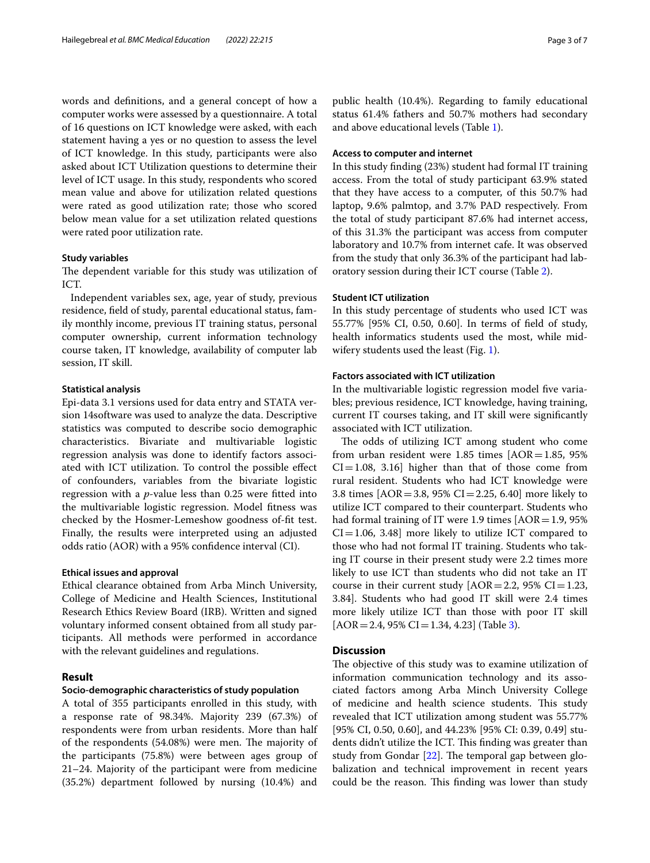words and defnitions, and a general concept of how a computer works were assessed by a questionnaire. A total of 16 questions on ICT knowledge were asked, with each statement having a yes or no question to assess the level of ICT knowledge. In this study, participants were also asked about ICT Utilization questions to determine their level of ICT usage. In this study, respondents who scored mean value and above for utilization related questions were rated as good utilization rate; those who scored below mean value for a set utilization related questions were rated poor utilization rate.

#### **Study variables**

The dependent variable for this study was utilization of ICT.

Independent variables sex, age, year of study, previous residence, feld of study, parental educational status, family monthly income, previous IT training status, personal computer ownership, current information technology course taken, IT knowledge, availability of computer lab session, IT skill.

#### **Statistical analysis**

Epi-data 3.1 versions used for data entry and STATA version 14software was used to analyze the data. Descriptive statistics was computed to describe socio demographic characteristics. Bivariate and multivariable logistic regression analysis was done to identify factors associated with ICT utilization. To control the possible efect of confounders, variables from the bivariate logistic regression with a *p*-value less than 0.25 were ftted into the multivariable logistic regression. Model ftness was checked by the Hosmer-Lemeshow goodness of-ft test. Finally, the results were interpreted using an adjusted odds ratio (AOR) with a 95% confdence interval (CI).

#### **Ethical issues and approval**

Ethical clearance obtained from Arba Minch University, College of Medicine and Health Sciences, Institutional Research Ethics Review Board (IRB). Written and signed voluntary informed consent obtained from all study participants. All methods were performed in accordance with the relevant guidelines and regulations.

#### **Result**

#### **Socio‑demographic characteristics of study population**

A total of 355 participants enrolled in this study, with a response rate of 98.34%. Majority 239 (67.3%) of respondents were from urban residents. More than half of the respondents (54.08%) were men. The majority of the participants (75.8%) were between ages group of 21–24. Majority of the participant were from medicine (35.2%) department followed by nursing (10.4%) and public health (10.4%). Regarding to family educational status 61.4% fathers and 50.7% mothers had secondary and above educational levels (Table [1\)](#page-3-0).

#### **Access to computer and internet**

In this study fnding (23%) student had formal IT training access. From the total of study participant 63.9% stated that they have access to a computer, of this 50.7% had laptop, 9.6% palmtop, and 3.7% PAD respectively. From the total of study participant 87.6% had internet access, of this 31.3% the participant was access from computer laboratory and 10.7% from internet cafe. It was observed from the study that only 36.3% of the participant had laboratory session during their ICT course (Table [2](#page-3-1)).

#### **Student ICT utilization**

In this study percentage of students who used ICT was 55.77% [95% CI, 0.50, 0.60]. In terms of feld of study, health informatics students used the most, while midwifery students used the least (Fig. [1](#page-4-0)).

#### **Factors associated with ICT utilization**

In the multivariable logistic regression model five variables; previous residence, ICT knowledge, having training, current IT courses taking, and IT skill were signifcantly associated with ICT utilization.

The odds of utilizing ICT among student who come from urban resident were  $1.85$  times  $[AOR=1.85, 95%$  $CI = 1.08$ , 3.16] higher than that of those come from rural resident. Students who had ICT knowledge were 3.8 times  $[AOR = 3.8, 95\% \text{ CI} = 2.25, 6.40]$  more likely to utilize ICT compared to their counterpart. Students who had formal training of IT were 1.9 times  $[AOR=1.9, 95%$  $CI = 1.06, 3.48$ ] more likely to utilize ICT compared to those who had not formal IT training. Students who taking IT course in their present study were 2.2 times more likely to use ICT than students who did not take an IT course in their current study  $[AOR=2.2, 95\% \text{ CI}=1.23,$ 3.84]. Students who had good IT skill were 2.4 times more likely utilize ICT than those with poor IT skill  $[AOR = 2.4, 95\% CI = 1.34, 4.23]$  (Table [3](#page-4-1)).

#### **Discussion**

The objective of this study was to examine utilization of information communication technology and its associated factors among Arba Minch University College of medicine and health science students. This study revealed that ICT utilization among student was 55.77% [95% CI, 0.50, 0.60], and 44.23% [95% CI: 0.39, 0.49] students didn't utilize the ICT. This finding was greater than study from Gondar  $[22]$  $[22]$ . The temporal gap between globalization and technical improvement in recent years could be the reason. This finding was lower than study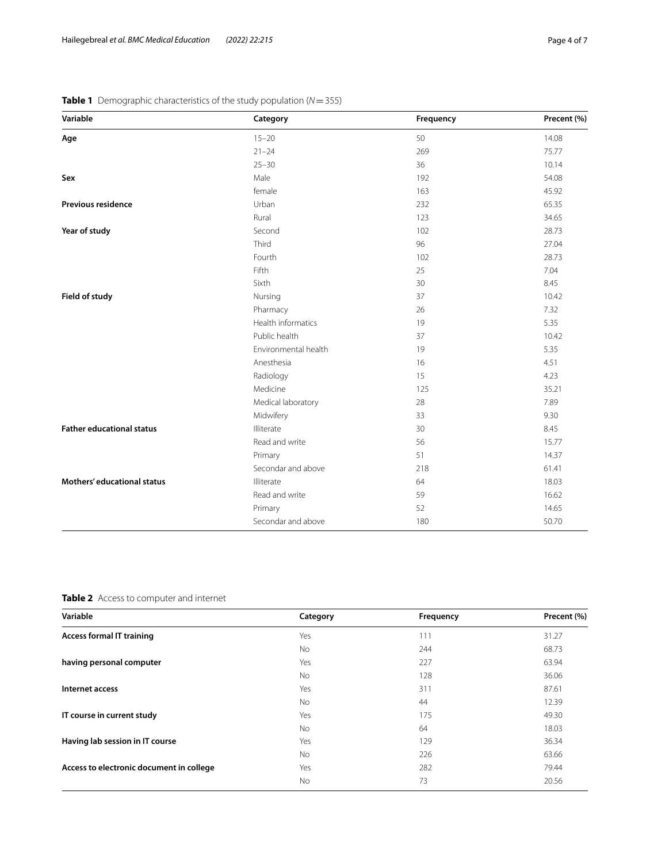| Variable                         | Category             | Frequency | Precent (%) |
|----------------------------------|----------------------|-----------|-------------|
| Age                              | $15 - 20$            | 50        | 14.08       |
|                                  | $21 - 24$            | 269       | 75.77       |
|                                  | $25 - 30$            | 36        | 10.14       |
| Sex                              | Male                 | 192       | 54.08       |
|                                  | female               | 163       | 45.92       |
| <b>Previous residence</b>        | Urban                | 232       | 65.35       |
|                                  | Rural                | 123       | 34.65       |
| Year of study                    | Second               | 102       | 28.73       |
|                                  | Third                | 96        | 27.04       |
|                                  | Fourth               | 102       | 28.73       |
|                                  | Fifth                | 25        | 7.04        |
|                                  | Sixth                | 30        | 8.45        |
| Field of study                   | 37<br>Nursing        |           | 10.42       |
|                                  | Pharmacy             | 26        | 7.32        |
|                                  | Health informatics   | 19        | 5.35        |
|                                  | Public health        | 37        | 10.42       |
|                                  | Environmental health | 19        | 5.35        |
|                                  | Anesthesia           | 16        | 4.51        |
|                                  | Radiology            | 15        | 4.23        |
|                                  | Medicine             | 125       | 35.21       |
|                                  | Medical laboratory   | 28        | 7.89        |
|                                  | Midwifery            | 33        | 9.30        |
| <b>Father educational status</b> | Illiterate           | 30        | 8.45        |
|                                  | Read and write       | 56        | 15.77       |
|                                  | Primary              | 51        | 14.37       |
|                                  | Secondar and above   | 218       | 61.41       |
| Mothers' educational status      | Illiterate           | 64        | 18.03       |
|                                  | Read and write       | 59        | 16.62       |
|                                  | Primary              | 52        | 14.65       |
|                                  | Secondar and above   | 180       | 50.70       |

### <span id="page-3-0"></span>**Table 1** Demographic characteristics of the study population (*N*=355)

<span id="page-3-1"></span>**Table 2** Access to computer and internet

| Variable                                 | Category | Frequency | Precent (%) |
|------------------------------------------|----------|-----------|-------------|
| <b>Access formal IT training</b>         | Yes      | 111       | 31.27       |
|                                          | No       | 244       | 68.73       |
| having personal computer                 | Yes      | 227       | 63.94       |
|                                          | No       | 128       | 36.06       |
| Internet access                          | Yes      | 311       | 87.61       |
|                                          | No       | 44        | 12.39       |
| IT course in current study               | Yes      | 175       | 49.30       |
|                                          | No       | 64        | 18.03       |
| Having lab session in IT course          | Yes      | 129       | 36.34       |
|                                          | No       | 226       | 63.66       |
| Access to electronic document in college | Yes      | 282       | 79.44       |
|                                          | No       | 73        | 20.56       |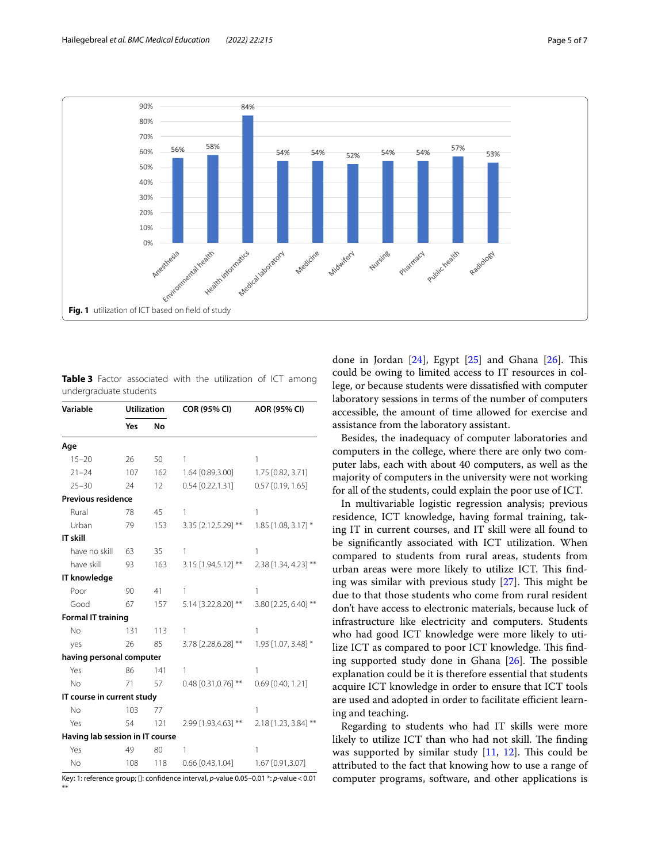

<span id="page-4-1"></span><span id="page-4-0"></span>**Table 3** Factor associated with the utilization of ICT among undergraduate students

| Variable                        | <b>Utilization</b> |           | COR (95% CI)          | AOR (95% CI)          |
|---------------------------------|--------------------|-----------|-----------------------|-----------------------|
|                                 | Yes                | <b>No</b> |                       |                       |
| Age                             |                    |           |                       |                       |
| $15 - 20$                       | 26                 | 50        | 1                     | 1                     |
| $21 - 24$                       | 107                | 162       | 1.64 [0.89,3.00]      | 1.75 [0.82, 3.71]     |
| $25 - 30$                       | 24                 | 12        | $0.54$ [0.22,1.31]    | 0.57 [0.19, 1.65]     |
| <b>Previous residence</b>       |                    |           |                       |                       |
| Rural                           | 78                 | 45        | 1                     | 1                     |
| Urban                           | 79                 | 153       | 3.35 [2.12,5.29] **   | $1.85$ [1.08, 3.17] * |
| IT skill                        |                    |           |                       |                       |
| have no skill                   | 63                 | 35        | 1                     | 1                     |
| have skill                      | 93                 | 163       | 3.15 [1.94,5.12] **   | 2.38 [1.34, 4.23] **  |
| IT knowledge                    |                    |           |                       |                       |
| Poor                            | 90                 | 41        | 1                     | 1                     |
| Good                            | 67                 | 157       | 5.14 [3.22,8.20] **   | 3.80 [2.25, 6.40] **  |
| <b>Formal IT training</b>       |                    |           |                       |                       |
| <b>No</b>                       | 131                | 113       | 1                     | 1                     |
| yes                             | 26                 | 85        | 3.78 [2.28,6.28] **   | 1.93 [1.07, 3.48] *   |
| having personal computer        |                    |           |                       |                       |
| Yes                             | 86                 | 141       | 1                     | 1                     |
| <b>No</b>                       | 71                 | 57        | $0.48$ [0.31,0.76] ** | $0.69$ [0.40, 1.21]   |
| IT course in current study      |                    |           |                       |                       |
| <b>No</b>                       | 103                | 77        |                       | 1                     |
| Yes                             | 54                 | 121       | 2.99 [1.93,4.63] **   | 2.18 [1.23, 3.84] **  |
| Having lab session in IT course |                    |           |                       |                       |
| Yes                             | 49                 | 80        | 1                     | 1                     |
| <b>No</b>                       | 108                | 118       | $0.66$ [0.43,1.04]    | 1.67 [0.91,3.07]      |

Key: 1: reference group; []: confdence interval, *p*-value 0.05–0.01 \*: *p*-value<0.01 \*\*

done in Jordan  $[24]$  $[24]$ , Egypt  $[25]$  $[25]$  and Ghana  $[26]$  $[26]$ . This could be owing to limited access to IT resources in college, or because students were dissatisfed with computer laboratory sessions in terms of the number of computers accessible, the amount of time allowed for exercise and assistance from the laboratory assistant.

Besides, the inadequacy of computer laboratories and computers in the college, where there are only two computer labs, each with about 40 computers, as well as the majority of computers in the university were not working for all of the students, could explain the poor use of ICT.

In multivariable logistic regression analysis; previous residence, ICT knowledge, having formal training, taking IT in current courses, and IT skill were all found to be signifcantly associated with ICT utilization. When compared to students from rural areas, students from urban areas were more likely to utilize ICT. This finding was similar with previous study  $[27]$  $[27]$ . This might be due to that those students who come from rural resident don't have access to electronic materials, because luck of infrastructure like electricity and computers. Students who had good ICT knowledge were more likely to utilize ICT as compared to poor ICT knowledge. This finding supported study done in Ghana  $[26]$  $[26]$ . The possible explanation could be it is therefore essential that students acquire ICT knowledge in order to ensure that ICT tools are used and adopted in order to facilitate efficient learning and teaching.

Regarding to students who had IT skills were more likely to utilize ICT than who had not skill. The finding was supported by similar study  $[11, 12]$  $[11, 12]$  $[11, 12]$  $[11, 12]$ . This could be attributed to the fact that knowing how to use a range of computer programs, software, and other applications is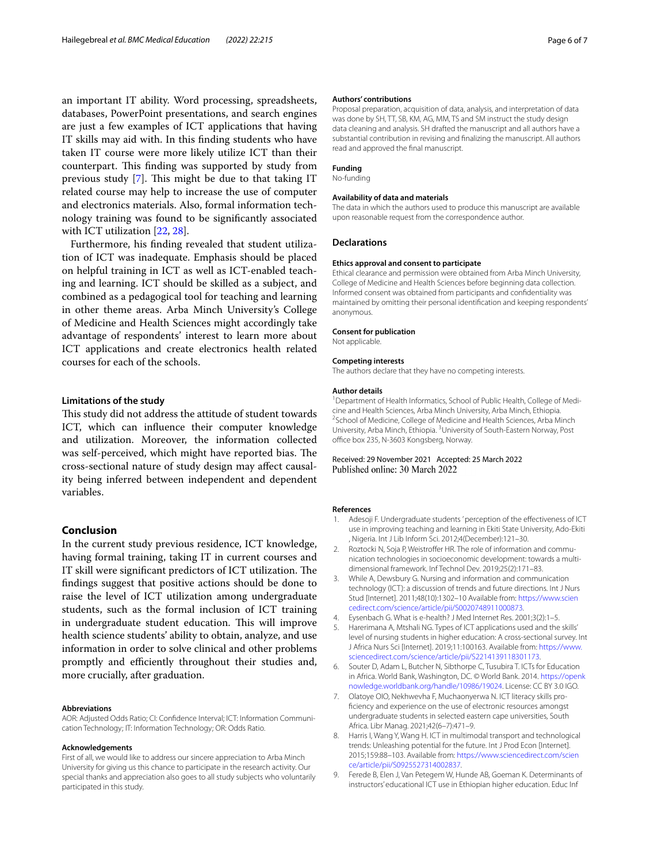an important IT ability. Word processing, spreadsheets, databases, PowerPoint presentations, and search engines are just a few examples of ICT applications that having IT skills may aid with. In this fnding students who have taken IT course were more likely utilize ICT than their counterpart. This finding was supported by study from previous study  $[7]$  $[7]$  $[7]$ . This might be due to that taking IT related course may help to increase the use of computer and electronics materials. Also, formal information technology training was found to be signifcantly associated with ICT utilization [[22,](#page-6-12) [28\]](#page-6-17).

Furthermore, his fnding revealed that student utilization of ICT was inadequate. Emphasis should be placed on helpful training in ICT as well as ICT-enabled teaching and learning. ICT should be skilled as a subject, and combined as a pedagogical tool for teaching and learning in other theme areas. Arba Minch University's College of Medicine and Health Sciences might accordingly take advantage of respondents' interest to learn more about ICT applications and create electronics health related courses for each of the schools.

#### **Limitations of the study**

This study did not address the attitude of student towards ICT, which can infuence their computer knowledge and utilization. Moreover, the information collected was self-perceived, which might have reported bias. The cross-sectional nature of study design may afect causality being inferred between independent and dependent variables.

#### **Conclusion**

In the current study previous residence, ICT knowledge, having formal training, taking IT in current courses and IT skill were significant predictors of ICT utilization. The fndings suggest that positive actions should be done to raise the level of ICT utilization among undergraduate students, such as the formal inclusion of ICT training in undergraduate student education. This will improve health science students' ability to obtain, analyze, and use information in order to solve clinical and other problems promptly and efficiently throughout their studies and, more crucially, after graduation.

#### **Abbreviations**

AOR: Adjusted Odds Ratio; CI: Confdence Interval; ICT: Information Communication Technology; IT: Information Technology; OR: Odds Ratio.

#### **Acknowledgements**

First of all, we would like to address our sincere appreciation to Arba Minch University for giving us this chance to participate in the research activity. Our special thanks and appreciation also goes to all study subjects who voluntarily participated in this study.

#### **Authors' contributions**

Proposal preparation, acquisition of data, analysis, and interpretation of data was done by SH, TT, SB, KM, AG, MM, TS and SM instruct the study design data cleaning and analysis. SH drafted the manuscript and all authors have a substantial contribution in revising and fnalizing the manuscript. All authors read and approved the fnal manuscript.

#### **Funding** No-funding

#### **Availability of data and materials**

The data in which the authors used to produce this manuscript are available upon reasonable request from the correspondence author.

#### **Declarations**

#### **Ethics approval and consent to participate**

Ethical clearance and permission were obtained from Arba Minch University, College of Medicine and Health Sciences before beginning data collection. Informed consent was obtained from participants and confdentiality was maintained by omitting their personal identifcation and keeping respondents' anonymous.

#### **Consent for publication**

Not applicable.

#### **Competing interests**

The authors declare that they have no competing interests.

#### **Author details**

<sup>1</sup> Department of Health Informatics, School of Public Health, College of Medicine and Health Sciences, Arba Minch University, Arba Minch, Ethiopia. 2 <sup>2</sup> School of Medicine, College of Medicine and Health Sciences, Arba Minch University, Arba Minch, Ethiopia. <sup>3</sup> University of South-Eastern Norway, Post office box 235, N-3603 Kongsberg, Norway.

# Received: 29 November 2021 Accepted: 25 March 2022

#### **References**

- <span id="page-5-0"></span>1. Adesoji F. Undergraduate students ' perception of the efectiveness of ICT use in improving teaching and learning in Ekiti State University, Ado-Ekiti , Nigeria. Int J Lib Inform Sci. 2012;4(December):121–30.
- <span id="page-5-1"></span>2. Roztocki N, Soja P, Weistroffer HR. The role of information and communication technologies in socioeconomic development: towards a multidimensional framework. Inf Technol Dev. 2019;25(2):171–83.
- <span id="page-5-2"></span>3. While A, Dewsbury G. Nursing and information and communication technology (ICT): a discussion of trends and future directions. Int J Nurs Stud [Internet]. 2011;48(10):1302–10 Available from: [https://www.scien](https://www.sciencedirect.com/science/article/pii/S0020748911000873) [cedirect.com/science/article/pii/S0020748911000873](https://www.sciencedirect.com/science/article/pii/S0020748911000873).
- <span id="page-5-3"></span>4. Eysenbach G. What is e-health? J Med Internet Res. 2001;3(2):1–5.
- <span id="page-5-4"></span>5. Harerimana A, Mtshali NG. Types of ICT applications used and the skills' level of nursing students in higher education: A cross-sectional survey. Int J Africa Nurs Sci [Internet]. 2019;11:100163. Available from: [https://www.](https://www.sciencedirect.com/science/article/pii/S2214139118301173) [sciencedirect.com/science/article/pii/S2214139118301173](https://www.sciencedirect.com/science/article/pii/S2214139118301173).
- <span id="page-5-5"></span>6. Souter D, Adam L, Butcher N, Sibthorpe C, Tusubira T. ICTs for Education in Africa. World Bank, Washington, DC. © World Bank. 2014. [https://openk](https://openknowledge.worldbank.org/handle/10986/19024) [nowledge.worldbank.org/handle/10986/19024](https://openknowledge.worldbank.org/handle/10986/19024). License: CC BY 3.0 IGO.
- <span id="page-5-6"></span>7. Olatoye OIO, Nekhwevha F, Muchaonyerwa N. ICT literacy skills profciency and experience on the use of electronic resources amongst undergraduate students in selected eastern cape universities, South Africa. Libr Manag. 2021;42(6–7):471–9.
- <span id="page-5-7"></span>8. Harris I, Wang Y, Wang H. ICT in multimodal transport and technological trends: Unleashing potential for the future. Int J Prod Econ [Internet]. 2015;159:88–103. Available from: [https://www.sciencedirect.com/scien](https://www.sciencedirect.com/science/article/pii/S0925527314002837) [ce/article/pii/S0925527314002837](https://www.sciencedirect.com/science/article/pii/S0925527314002837).
- <span id="page-5-8"></span>9. Ferede B, Elen J, Van Petegem W, Hunde AB, Goeman K. Determinants of instructors' educational ICT use in Ethiopian higher education. Educ Inf